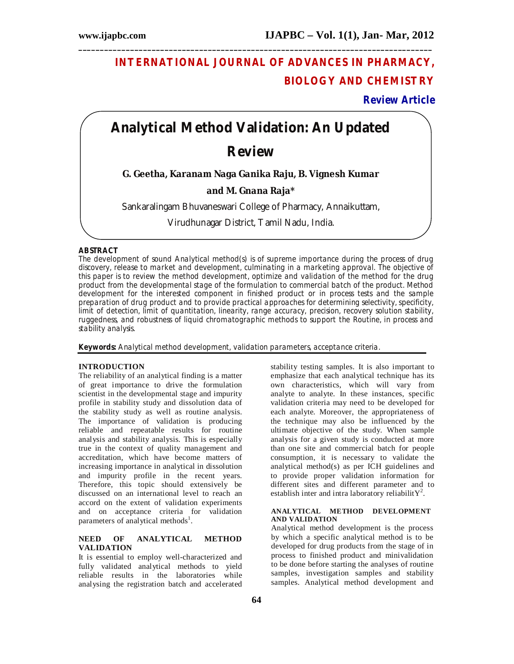# **INTERNATIONAL JOURNAL OF ADVANCES IN PHARMACY, BIOLOGY AND CHEMISTRY**

## **Review Article**

# **Analytical Method Validation: An Updated**

**\_\_\_\_\_\_\_\_\_\_\_\_\_\_\_\_\_\_\_\_\_\_\_\_\_\_\_\_\_\_\_\_\_\_\_\_\_\_\_\_\_\_\_\_\_\_\_\_\_\_\_\_\_\_\_\_\_\_\_\_\_\_\_\_\_\_\_\_\_\_\_\_\_\_\_\_\_\_\_\_\_\_**

# **Review**

**G. Geetha, Karanam Naga Ganika Raju, B. Vignesh Kumar** 

## **and M. Gnana Raja\***

Sankaralingam Bhuvaneswari College of Pharmacy, Annaikuttam,

Virudhunagar District, Tamil Nadu, India.

### **ABSTRACT**

The development of sound Analytical method(s) is of supreme importance during the process of drug discovery, release to market and development, culminating in a marketing approval. The objective of this paper is to review the method development, optimize and validation of the method for the drug product from the developmental stage of the formulation to commercial batch of the product. Method development for the interested component in finished product or in process tests and the sample preparation of drug product and to provide practical approaches for determining selectivity, specificity, limit of detection, limit of quantitation, linearity, range accuracy, precision, recovery solution stability, ruggedness, and robustness of liquid chromatographic methods to support the Routine, in process and stability analysis.

**Keywords:** Analytical method development, validation parameters, acceptance criteria.

#### **INTRODUCTION**

The reliability of an analytical finding is a matter of great importance to drive the formulation scientist in the developmental stage and impurity profile in stability study and dissolution data of the stability study as well as routine analysis. The importance of validation is producing reliable and repeatable results for routine analysis and stability analysis. This is especially true in the context of quality management and accreditation, which have become matters of increasing importance in analytical in dissolution and impurity profile in the recent years. Therefore, this topic should extensively be discussed on an international level to reach an accord on the extent of validation experiments and on acceptance criteria for validation parameters of analytical methods<sup>1</sup>.

## **NEED OF ANALYTICAL METHOD VALIDATION**

It is essential to employ well-characterized and fully validated analytical methods to yield reliable results in the laboratories while analysing the registration batch and accelerated

stability testing samples. It is also important to emphasize that each analytical technique has its own characteristics, which will vary from analyte to analyte. In these instances, specific validation criteria may need to be developed for each analyte. Moreover, the appropriateness of the technique may also be influenced by the ultimate objective of the study. When sample analysis for a given study is conducted at more than one site and commercial batch for people consumption, it is necessary to validate the analytical method(s) as per ICH guidelines and to provide proper validation information for different sites and different parameter and to establish inter and intra laboratory reliabilit  $Y^2$ .

#### **ANALYTICAL METHOD DEVELOPMENT AND VALIDATION**

Analytical method development is the process by which a specific analytical method is to be developed for drug products from the stage of in process to finished product and minivalidation to be done before starting the analyses of routine samples, investigation samples and stability samples. Analytical method development and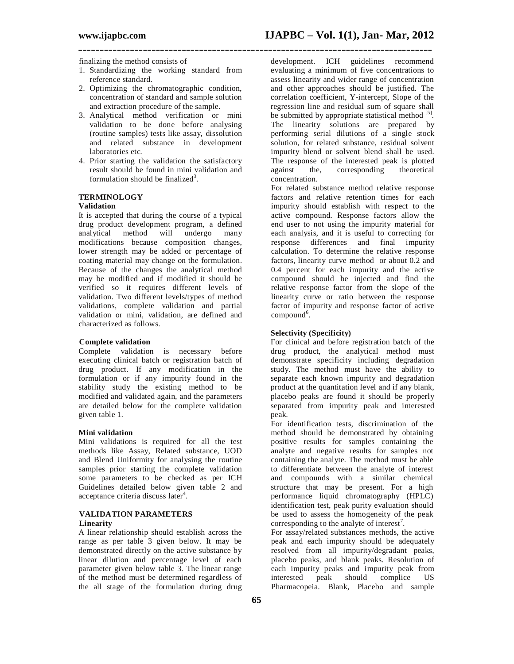**\_\_\_\_\_\_\_\_\_\_\_\_\_\_\_\_\_\_\_\_\_\_\_\_\_\_\_\_\_\_\_\_\_\_\_\_\_\_\_\_\_\_\_\_\_\_\_\_\_\_\_\_\_\_\_\_\_\_\_\_\_\_\_\_\_\_\_\_\_\_\_\_\_\_\_\_\_\_\_\_\_\_**

finalizing the method consists of

- 1. Standardizing the working standard from reference standard.
- 2. Optimizing the chromatographic condition, concentration of standard and sample solution and extraction procedure of the sample.
- 3. Analytical method verification or mini validation to be done before analysing (routine samples) tests like assay, dissolution and related substance in development laboratories etc.
- 4. Prior starting the validation the satisfactory result should be found in mini validation and formulation should be finalized<sup>3</sup>.

## **TERMINOLOGY**

## **Validation**

It is accepted that during the course of a typical drug product development program, a defined analytical method will undergo many modifications because composition changes, lower strength may be added or percentage of coating material may change on the formulation. Because of the changes the analytical method may be modified and if modified it should be verified so it requires different levels of validation. Two different levels/types of method validations, complete validation and partial validation or mini, validation, are defined and characterized as follows.

## **Complete validation**

Complete validation is necessary before executing clinical batch or registration batch of drug product. If any modification in the formulation or if any impurity found in the stability study the existing method to be modified and validated again, and the parameters are detailed below for the complete validation given table 1.

#### **Mini validation**

Mini validations is required for all the test methods like Assay, Related substance, UOD and Blend Uniformity for analysing the routine samples prior starting the complete validation some parameters to be checked as per ICH Guidelines detailed below given table 2 and acceptance criteria discuss later<sup>4</sup>.

## **VALIDATION PARAMETERS Linearity**

A linear relationship should establish across the range as per table 3 given below. It may be demonstrated directly on the active substance by linear dilution and percentage level of each parameter given below table 3. The linear range of the method must be determined regardless of the all stage of the formulation during drug

development. ICH guidelines recommend evaluating a minimum of five concentrations to assess linearity and wider range of concentration and other approaches should be justified. The correlation coefficient, Y-intercept, Slope of the regression line and residual sum of square shall be submitted by appropriate statistical method [5]. The linearity solutions are prepared by performing serial dilutions of a single stock solution, for related substance, residual solvent impurity blend or solvent blend shall be used. The response of the interested peak is plotted against the, corresponding theoretical concentration.

For related substance method relative response factors and relative retention times for each impurity should establish with respect to the active compound. Response factors allow the end user to not using the impurity material for each analysis, and it is useful to correcting for response differences and final impurity calculation. To determine the relative response factors, linearity curve method or about 0.2 and 0.4 percent for each impurity and the active compound should be injected and find the relative response factor from the slope of the linearity curve or ratio between the response factor of impurity and response factor of active  $compound<sup>6</sup>$ .

#### **Selectivity (Specificity)**

For clinical and before registration batch of the drug product, the analytical method must demonstrate specificity including degradation study. The method must have the ability to separate each known impurity and degradation product at the quantitation level and if any blank, placebo peaks are found it should be properly separated from impurity peak and interested peak.

For identification tests, discrimination of the method should be demonstrated by obtaining positive results for samples containing the analyte and negative results for samples not containing the analyte. The method must be able to differentiate between the analyte of interest and compounds with a similar chemical structure that may be present. For a high performance liquid chromatography (HPLC) identification test, peak purity evaluation should be used to assess the homogeneity of the peak corresponding to the analyte of interest<sup>7</sup>.

For assay/related substances methods, the active peak and each impurity should be adequately resolved from all impurity/degradant peaks, placebo peaks, and blank peaks. Resolution of each impurity peaks and impurity peak from<br>interested peak should complice US interested peak should complice US Pharmacopeia. Blank, Placebo and sample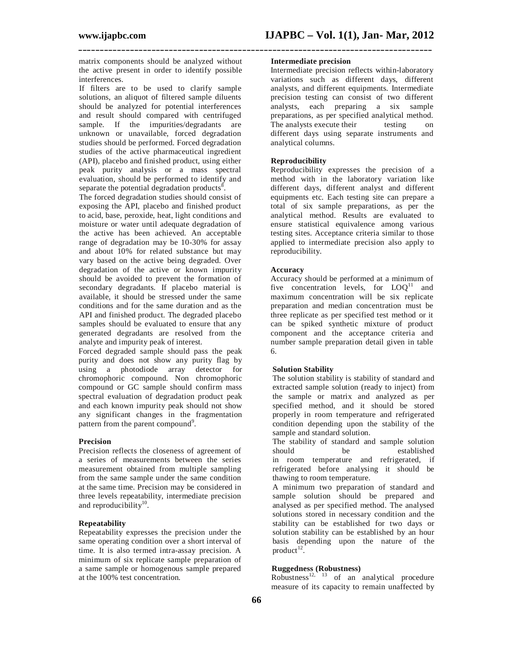matrix components should be analyzed without the active present in order to identify possible interferences.

If filters are to be used to clarify sample solutions, an aliquot of filtered sample diluents should be analyzed for potential interferences and result should compared with centrifuged sample. If the impurities/degradants are unknown or unavailable, forced degradation studies should be performed. Forced degradation studies of the active pharmaceutical ingredient (API), placebo and finished product, using either peak purity analysis or a mass spectral evaluation, should be performed to identify and separate the potential degradation products<sup>8</sup>.

The forced degradation studies should consist of exposing the API, placebo and finished product to acid, base, peroxide, heat, light conditions and moisture or water until adequate degradation of the active has been achieved. An acceptable range of degradation may be 10-30% for assay and about 10% for related substance but may vary based on the active being degraded. Over degradation of the active or known impurity should be avoided to prevent the formation of secondary degradants. If placebo material is available, it should be stressed under the same conditions and for the same duration and as the API and finished product. The degraded placebo samples should be evaluated to ensure that any generated degradants are resolved from the analyte and impurity peak of interest.

Forced degraded sample should pass the peak purity and does not show any purity flag by using a photodiode array detector for chromophoric compound. Non chromophoric compound or GC sample should confirm mass spectral evaluation of degradation product peak and each known impurity peak should not show any significant changes in the fragmentation pattern from the parent compound<sup>9</sup>.

#### **Precision**

Precision reflects the closeness of agreement of a series of measurements between the series measurement obtained from multiple sampling from the same sample under the same condition at the same time. Precision may be considered in three levels repeatability, intermediate precision and reproducibility<sup>10</sup>.

#### **Repeatability**

Repeatability expresses the precision under the same operating condition over a short interval of time. It is also termed intra-assay precision. A minimum of six replicate sample preparation of a same sample or homogenous sample prepared at the 100% test concentration.

#### **Intermediate precision**

**\_\_\_\_\_\_\_\_\_\_\_\_\_\_\_\_\_\_\_\_\_\_\_\_\_\_\_\_\_\_\_\_\_\_\_\_\_\_\_\_\_\_\_\_\_\_\_\_\_\_\_\_\_\_\_\_\_\_\_\_\_\_\_\_\_\_\_\_\_\_\_\_\_\_\_\_\_\_\_\_\_\_**

Intermediate precision reflects within-laboratory variations such as different days, different analysts, and different equipments. Intermediate precision testing can consist of two different analysts, each preparing a six sample preparations, as per specified analytical method. The analysts execute their testing on different days using separate instruments and analytical columns.

## **Reproducibility**

Reproducibility expresses the precision of a method with in the laboratory variation like different days, different analyst and different equipments etc. Each testing site can prepare a total of six sample preparations, as per the analytical method. Results are evaluated to ensure statistical equivalence among various testing sites. Acceptance criteria similar to those applied to intermediate precision also apply to reproducibility.

#### **Accuracy**

Accuracy should be performed at a minimum of five concentration levels, for  $LOO<sup>11</sup>$  and maximum concentration will be six replicate preparation and median concentration must be three replicate as per specified test method or it can be spiked synthetic mixture of product component and the acceptance criteria and number sample preparation detail given in table 6.

#### **Solution Stability**

The solution stability is stability of standard and extracted sample solution (ready to inject) from the sample or matrix and analyzed as per specified method, and it should be stored properly in room temperature and refrigerated condition depending upon the stability of the sample and standard solution.

The stability of standard and sample solution should be established in room temperature and refrigerated, if refrigerated before analysing it should be thawing to room temperature.

A minimum two preparation of standard and sample solution should be prepared and analysed as per specified method. The analysed solutions stored in necessary condition and the stability can be established for two days or solution stability can be established by an hour basis depending upon the nature of the  $product<sup>12</sup>$ .

## **Ruggedness (Robustness)**

Robustness<sup>12, 13</sup> of an analytical procedure measure of its capacity to remain unaffected by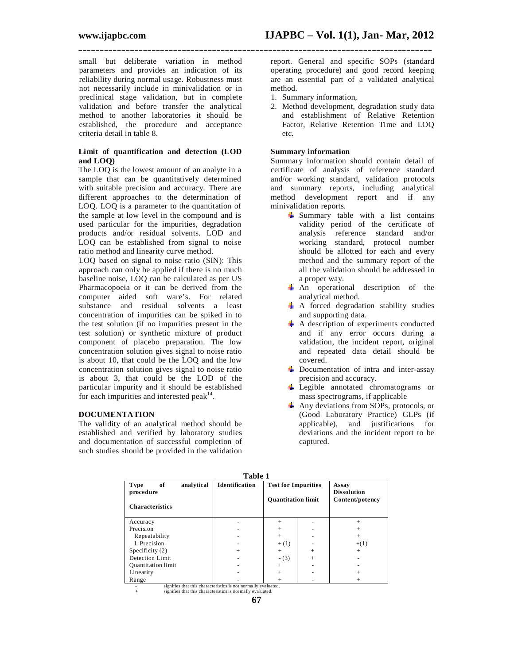small but deliberate variation in method parameters and provides an indication of its reliability during normal usage. Robustness must not necessarily include in minivalidation or in preclinical stage validation, but in complete validation and before transfer the analytical method to another laboratories it should be established, the procedure and acceptance criteria detail in table 8.

#### **Limit of quantification and detection (LOD and LOQ)**

The LOQ is the lowest amount of an analyte in a sample that can be quantitatively determined with suitable precision and accuracy. There are different approaches to the determination of LOQ. LOQ is a parameter to the quantitation of the sample at low level in the compound and is used particular for the impurities, degradation products and/or residual solvents. LOD and LOQ can be established from signal to noise ratio method and linearity curve method.

LOQ based on signal to noise ratio (SIN): This approach can only be applied if there is no much baseline noise, LOQ can be calculated as per US Pharmacopoeia or it can be derived from the computer aided soft ware's. For related substance and residual solvents a least concentration of impurities can be spiked in to the test solution (if no impurities present in the test solution) or synthetic mixture of product component of placebo preparation. The low concentration solution gives signal to noise ratio is about 10, that could be the LOQ and the low concentration solution gives signal to noise ratio is about 3, that could be the LOD of the particular impurity and it should be established for each impurities and interested peak $^{14}$ .

## **DOCUMENTATION**

The validity of an analytical method should be established and verified by laboratory studies and documentation of successful completion of such studies should be provided in the validation report. General and specific SOPs (standard operating procedure) and good record keeping are an essential part of a validated analytical method.

1. Summary information,

**\_\_\_\_\_\_\_\_\_\_\_\_\_\_\_\_\_\_\_\_\_\_\_\_\_\_\_\_\_\_\_\_\_\_\_\_\_\_\_\_\_\_\_\_\_\_\_\_\_\_\_\_\_\_\_\_\_\_\_\_\_\_\_\_\_\_\_\_\_\_\_\_\_\_\_\_\_\_\_\_\_\_**

2. Method development, degradation study data and establishment of Relative Retention Factor, Relative Retention Time and LOQ etc.

### **Summary information**

Summary information should contain detail of certificate of analysis of reference standard and/or working standard, validation protocols and summary reports, including analytical method development report and if any minivalidation reports.

- $\frac{1}{\sqrt{2}}$  Summary table with a list contains validity period of the certificate of analysis reference standard and/or working standard, protocol number should be allotted for each and every method and the summary report of the all the validation should be addressed in a proper way.
- An operational description of the analytical method.
- $\uparrow$  A forced degradation stability studies and supporting data.
- $\overline{\text{A}}$  A description of experiments conducted and if any error occurs during a validation, the incident report, original and repeated data detail should be covered.
- $\overline{\text{1}}$  Documentation of intra and inter-assay precision and accuracy.
- $\overline{\phantom{a}}$  Legible annotated chromatograms or mass spectrograms, if applicable
- $\overline{\text{Any}}$  deviations from SOPs, protocols, or (Good Laboratory Practice) GLPs (if applicable), and justifications for deviations and the incident report to be captured.

| Table 1                                                                |                       |                                                         |  |                                                |  |
|------------------------------------------------------------------------|-----------------------|---------------------------------------------------------|--|------------------------------------------------|--|
| analytical<br>of<br><b>Type</b><br>procedure<br><b>Characteristics</b> | <b>Identification</b> | <b>Test for Impurities</b><br><b>Quantitation limit</b> |  | Assay<br><b>Dissolution</b><br>Content/potency |  |
|                                                                        |                       |                                                         |  |                                                |  |
| Accuracy                                                               |                       | $\ddot{}$                                               |  | $\ddot{}$                                      |  |
| Precision                                                              |                       | $^{+}$                                                  |  | $^{+}$                                         |  |
| Repeatability                                                          |                       | $^{+}$                                                  |  | $\ddot{}$                                      |  |
| I. Precision $1$                                                       |                       | $+(1)$                                                  |  | $+(1)$                                         |  |
| Specificity $(2)$                                                      | $^{+}$                | $^{+}$                                                  |  | $^{+}$                                         |  |
| Detection Limit                                                        |                       | $- (3)$                                                 |  |                                                |  |
| <b>Quantitation</b> limit                                              |                       | $\ddot{}$                                               |  |                                                |  |
| Linearity                                                              |                       | $^{+}$                                                  |  |                                                |  |
| Range                                                                  |                       | $^{+}$                                                  |  | $\ddot{}$                                      |  |
| signifies that this characteristics is not normally evaluated          |                       |                                                         |  |                                                |  |

**Table 1**

**-** signifies that this characteristics is not normally evaluated. **+** signifies that this characteristics is normally evaluated.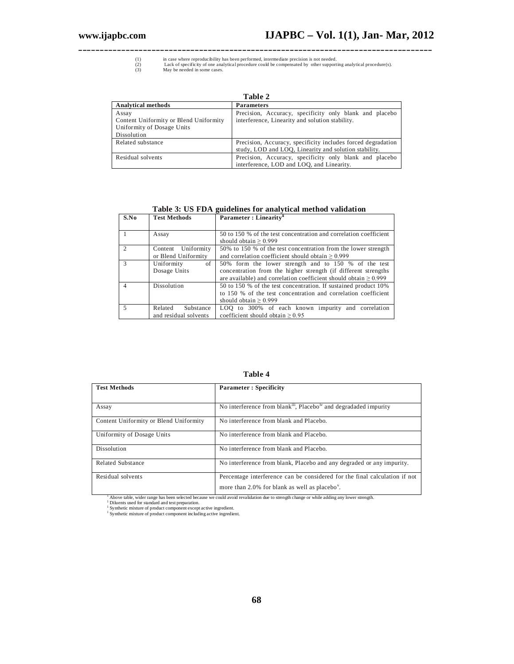**\_\_\_\_\_\_\_\_\_\_\_\_\_\_\_\_\_\_\_\_\_\_\_\_\_\_\_\_\_\_\_\_\_\_\_\_\_\_\_\_\_\_\_\_\_\_\_\_\_\_\_\_\_\_\_\_\_\_\_\_\_\_\_\_\_\_\_\_\_\_\_\_\_\_\_\_\_\_\_\_\_\_** (1) in case where reproducibility has been performed, intermediate precision is not needed.<br>(2) Lack of specificity of one analytical procedure could be compensated by other supporting analytical procedure(s).<br>(3) May be n

| Table 2                                                                                      |                                                                                                                       |  |  |
|----------------------------------------------------------------------------------------------|-----------------------------------------------------------------------------------------------------------------------|--|--|
| <b>Analytical methods</b>                                                                    | <b>Parameters</b>                                                                                                     |  |  |
| Assay<br>Content Uniformity or Blend Uniformity<br>Uniformity of Dosage Units<br>Dissolution | Precision, Accuracy, specificity only blank and placebo<br>interference, Linearity and solution stability.            |  |  |
| Related substance                                                                            | Precision, Accuracy, specificity includes forced degradation<br>study, LOD and LOQ, Linearity and solution stability. |  |  |
| Residual solvents                                                                            | Precision, Accuracy, specificity only blank and placebo<br>interference, LOD and LOO, and Linearity.                  |  |  |

## **Table 3: US FDA guidelines for analytical method validation**

| S.No           | <b>Test Methods</b>   | Parameter: Linearity <sup>"</sup>                                     |  |  |
|----------------|-----------------------|-----------------------------------------------------------------------|--|--|
|                |                       |                                                                       |  |  |
|                | Assay                 | 50 to 150 % of the test concentration and correlation coefficient     |  |  |
|                |                       | should obtain $> 0.999$                                               |  |  |
| $\mathfrak{D}$ | Content Uniformity    | 50% to 150 % of the test concentration from the lower strength        |  |  |
|                | or Blend Uniformity   | and correlation coefficient should obtain $\geq 0.999$                |  |  |
| 3              | of<br>Uniformity      | 50% form the lower strength and to 150 % of the test                  |  |  |
|                | Dosage Units          | concentration from the higher strength (if different strengths)       |  |  |
|                |                       | are available) and correlation coefficient should obtain $\geq 0.999$ |  |  |
| $\overline{4}$ | Dissolution           | 50 to 150 % of the test concentration. If sustained product 10%       |  |  |
|                |                       | to 150 % of the test concentration and correlation coefficient        |  |  |
|                |                       | should obtain $> 0.999$                                               |  |  |
| .5             | Related<br>Substance  | LOQ to 300% of each known impurity and correlation                    |  |  |
|                | and residual solvents | coefficient should obtain $\geq 0.95$                                 |  |  |

**Table 4**

| <b>Test Methods</b>                    | <b>Parameter: Specificity</b>                                                                                                            |
|----------------------------------------|------------------------------------------------------------------------------------------------------------------------------------------|
| Assay                                  | No interference from blank <sup>iii</sup> , Placebo <sup>iv</sup> and degradaded impurity                                                |
| Content Uniformity or Blend Uniformity | No interference from blank and Placebo.                                                                                                  |
| Uniformity of Dosage Units             | No interference from blank and Placebo.                                                                                                  |
| Dissolution                            | No interference from blank and Placebo.                                                                                                  |
| Related Substance                      | No interference from blank, Placebo and any degraded or any impurity.                                                                    |
| Residual solvents                      | Percentage interference can be considered for the final calculation if not<br>more than 2.0% for blank as well as placebo <sup>y</sup> . |

<sup>1</sup> Above table, wider range has been selected because we could avoid revalidation due to strength change or while adding any lower strength.<br><sup>1</sup> Diluents used for standard and test preparation.<br><sup>1</sup> Synthetic mixture of pr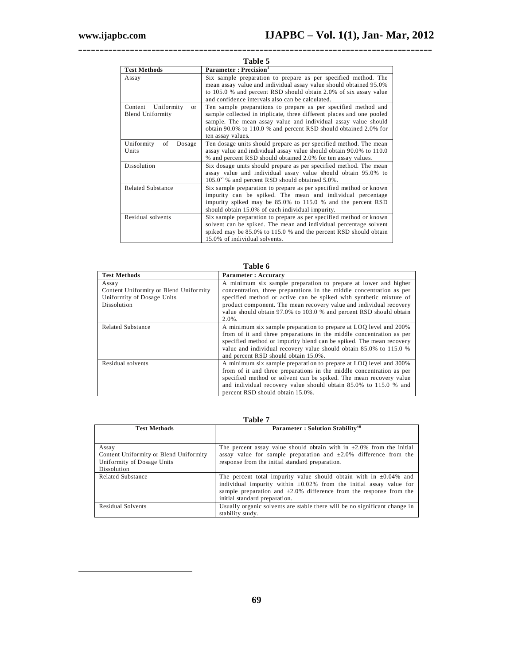-

| Table 5                                                      |                                                                                                                                                                                                                                                                                                    |  |
|--------------------------------------------------------------|----------------------------------------------------------------------------------------------------------------------------------------------------------------------------------------------------------------------------------------------------------------------------------------------------|--|
| <b>Test Methods</b>                                          | Parameter: Precision <sup>1</sup>                                                                                                                                                                                                                                                                  |  |
| Assay                                                        | Six sample preparation to prepare as per specified method. The<br>mean assay value and individual assay value should obtained 95.0%<br>to 105.0 % and percent RSD should obtain 2.0% of six assay value<br>and confidence intervals also can be calculated.                                        |  |
| Uniformity<br>Content<br>$\alpha$<br><b>Blend Uniformity</b> | Ten sample preparations to prepare as per specified method and<br>sample collected in triplicate, three different places and one pooled<br>sample. The mean assay value and individual assay value should<br>obtain 90.0% to 110.0 % and percent RSD should obtained 2.0% for<br>ten assay values. |  |
| Uniformity<br>of<br>Dosage<br>Units                          | Ten dosage units should prepare as per specified method. The mean<br>assay value and individual assay value should obtain 90.0% to 110.0<br>% and percent RSD should obtained 2.0% for ten assay values.                                                                                           |  |
| Dissolution                                                  | Six dosage units should prepare as per specified method. The mean<br>assay value and individual assay value should obtain 95.0% to<br>105.0 <sup>vi</sup> % and percent RSD should obtained 5.0%.                                                                                                  |  |
| <b>Related Substance</b>                                     | Six sample preparation to prepare as per specified method or known<br>impurity can be spiked. The mean and individual percentage<br>impurity spiked may be 85.0% to 115.0 % and the percent RSD<br>should obtain 15.0% of each individual impurity.                                                |  |
| Residual solvents                                            | Six sample preparation to prepare as per specified method or known<br>solvent can be spiked. The mean and individual percentage solvent<br>spiked may be 85.0% to 115.0 % and the percent RSD should obtain<br>15.0% of individual solvents.                                                       |  |

**\_\_\_\_\_\_\_\_\_\_\_\_\_\_\_\_\_\_\_\_\_\_\_\_\_\_\_\_\_\_\_\_\_\_\_\_\_\_\_\_\_\_\_\_\_\_\_\_\_\_\_\_\_\_\_\_\_\_\_\_\_\_\_\_\_\_\_\_\_\_\_\_\_\_\_\_\_\_\_\_\_\_**

| Table 6                                                                                             |                                                                                                                                                                                                                                                                                                                                                                        |  |
|-----------------------------------------------------------------------------------------------------|------------------------------------------------------------------------------------------------------------------------------------------------------------------------------------------------------------------------------------------------------------------------------------------------------------------------------------------------------------------------|--|
| <b>Test Methods</b>                                                                                 | Parameter: Accuracy                                                                                                                                                                                                                                                                                                                                                    |  |
| Assay<br>Content Uniformity or Blend Uniformity<br>Uniformity of Dosage Units<br><b>Dissolution</b> | A minimum six sample preparation to prepare at lower and higher<br>concentration, three preparations in the middle concentration as per<br>specified method or active can be spiked with synthetic mixture of<br>product component. The mean recovery value and individual recovery<br>value should obtain 97.0% to 103.0 % and percent RSD should obtain<br>$2.0\%$ . |  |
| Related Substance                                                                                   | A minimum six sample preparation to prepare at LOQ level and 200%<br>from of it and three preparations in the middle concentration as per<br>specified method or impurity blend can be spiked. The mean recovery<br>value and individual recovery value should obtain 85.0% to 115.0 %<br>and percent RSD should obtain 15.0%.                                         |  |
| Residual solvents                                                                                   | A minimum six sample preparation to prepare at LOQ level and 300%<br>from of it and three preparations in the middle concentration as per<br>specified method or solvent can be spiked. The mean recovery value<br>and individual recovery value should obtain 85.0% to 115.0 % and<br>percent RSD should obtain 15.0%.                                                |  |

## **Table 7**

| <b>Test Methods</b>                    | Parameter: Solution Stability <sup>vii</sup>                               |
|----------------------------------------|----------------------------------------------------------------------------|
|                                        |                                                                            |
| Assay                                  | The percent assay value should obtain with in $\pm 2.0\%$ from the initial |
| Content Uniformity or Blend Uniformity | assay value for sample preparation and $\pm 2.0\%$ difference from the     |
| Uniformity of Dosage Units             | response from the initial standard preparation.                            |
| Dissolution                            |                                                                            |
| <b>Related Substance</b>               | The percent total impurity value should obtain with in $\pm 0.04\%$ and    |
|                                        | individual impurity within $\pm 0.02\%$ from the initial assay value for   |
|                                        | sample preparation and $\pm 2.0\%$ difference from the response from the   |
|                                        | initial standard preparation.                                              |
| <b>Residual Solvents</b>               | Usually organic solvents are stable there will be no significant change in |
|                                        | stability study.                                                           |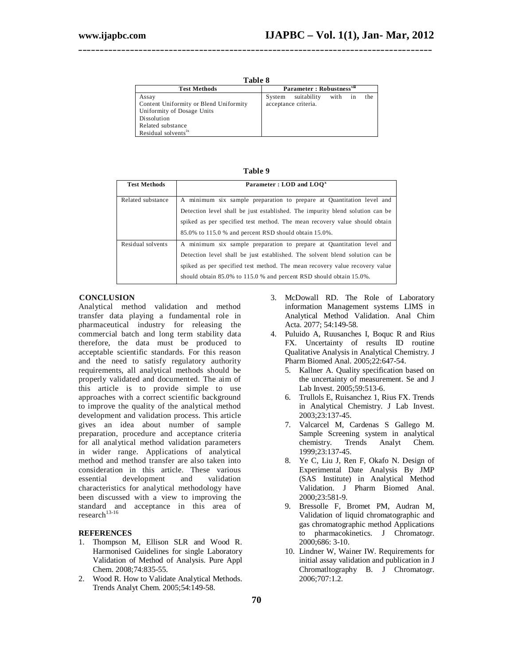| .,<br>۰.<br>. .<br>۰, | ۰.<br>× |
|-----------------------|---------|
|-----------------------|---------|

**\_\_\_\_\_\_\_\_\_\_\_\_\_\_\_\_\_\_\_\_\_\_\_\_\_\_\_\_\_\_\_\_\_\_\_\_\_\_\_\_\_\_\_\_\_\_\_\_\_\_\_\_\_\_\_\_\_\_\_\_\_\_\_\_\_\_\_\_\_\_\_\_\_\_\_\_\_\_\_\_\_\_**

| <b>Test Methods</b>                    |        | Parameter: Robustness <sup>viii</sup> |      |    |     |
|----------------------------------------|--------|---------------------------------------|------|----|-----|
| Assay                                  | System | suitability                           | with | in | the |
| Content Uniformity or Blend Uniformity |        | acceptance criteria.                  |      |    |     |
| Uniformity of Dosage Units             |        |                                       |      |    |     |
| Dissolution                            |        |                                       |      |    |     |
| Related substance                      |        |                                       |      |    |     |
| Residual solvents <sup>1x</sup>        |        |                                       |      |    |     |

| ı<br>Ы<br>п<br>'' |  |
|-------------------|--|
|-------------------|--|

| <b>Test Methods</b> | Parameter : LOD and LOO <sup>x</sup>                                          |
|---------------------|-------------------------------------------------------------------------------|
| Related substance   | A minimum six sample preparation to prepare at Quantitation level and         |
|                     | Detection level shall be just established. The impurity blend solution can be |
|                     | spiked as per specified test method. The mean recovery value should obtain    |
|                     | 85.0% to 115.0 % and percent RSD should obtain 15.0%.                         |
| Residual solvents   | A minimum six sample preparation to prepare at Quantitation level and         |
|                     | Detection level shall be just established. The solvent blend solution can be  |
|                     | spiked as per specified test method. The mean recovery value recovery value   |
|                     | should obtain 85.0% to 115.0 % and percent RSD should obtain 15.0%.           |

## **CONCLUSION**

Analytical method validation and method transfer data playing a fundamental role in pharmaceutical industry for releasing the commercial batch and long term stability data therefore, the data must be produced to acceptable scientific standards. For this reason and the need to satisfy regulatory authority requirements, all analytical methods should be properly validated and documented. The aim of this article is to provide simple to use approaches with a correct scientific background to improve the quality of the analytical method development and validation process. This article gives an idea about number of sample preparation, procedure and acceptance criteria for all analytical method validation parameters in wider range. Applications of analytical method and method transfer are also taken into consideration in this article. These various development characteristics for analytical methodology have been discussed with a view to improving the standard and acceptance in this area of  $research$ <sup>13-16</sup>

#### **REFERENCES**

- 1. Thompson M, Ellison SLR and Wood R. Harmonised Guidelines for single Laboratory Validation of Method of Analysis. Pure Appl Chem. 2008;74:835-55.
- 2. Wood R. How to Validate Analytical Methods. Trends Analyt Chem. 2005;54:149-58.
- 3. McDowall RD. The Role of Laboratory information Management systems LIMS in Analytical Method Validation. Anal Chim Acta. 2077; 54:149-58.
- 4. Puluido A, Ruusanches I, Boquc R and Rius FX. Uncertainty of results ID routine Qualitative Analysis in Analytical Chemistry. J Pharm Biomed Anal. 2005;22:647-54.
	- 5. Kallner A. Quality specification based on the uncertainty of measurement. Se and J Lab Invest. 2005;59:513-6.
	- 6. Trullols E, Ruisanchez 1, Rius FX. Trends in Analytical Chemistry. J Lab Invest. 2003;23:137-45.
	- 7. Valcarcel M, Cardenas S Gallego M. Sample Screening system in analytical chemistry. Trends Analyt Chem. 1999;23:137-45.
	- 8. Ye C, Liu J, Ren F, Okafo N. Design of Experimental Date Analysis By JMP (SAS Institute) in Analytical Method Validation. J Pharm Biomed Anal. 2000;23:581-9.
	- 9. Bressolle F, Bromet PM, Audran M, Validation of liquid chromatographic and gas chromatographic method Applications to pharmacokinetics. J Chromatogr. 2000;686: 3-10.
	- 10. Lindner W, Wainer IW. Requirements for initial assay validation and publication in J Chromatltography B. J Chromatogr. 2006;707:1.2.